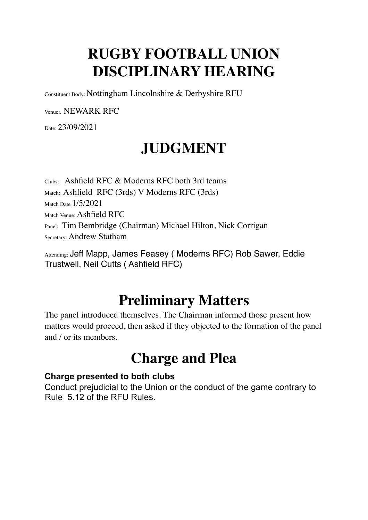# **RUGBY FOOTBALL UNION DISCIPLINARY HEARING**

Constituent Body: Nottingham Lincolnshire & Derbyshire RFU

Venue:. NEWARK RFC

Date: 23/09/2021

# **JUDGMENT**

Clubs: Ashfield RFC & Moderns RFC both 3rd teams Match: Ashfield RFC (3rds) V Moderns RFC (3rds). Match Date 1/5/2021 Match Venue: Ashfield RFC Panel: Tim Bembridge (Chairman) Michael Hilton, Nick Corrigan Secretary: Andrew Statham

Attending: Jeff Mapp, James Feasey (Moderns RFC) Rob Sawer, Eddie Trustwell, Neil Cutts ( Ashfield RFC)

### **Preliminary Matters**

The panel introduced themselves. The Chairman informed those present how matters would proceed, then asked if they objected to the formation of the panel and / or its members.

#### **Charge and Plea**

#### **Charge presented to both clubs**

Conduct prejudicial to the Union or the conduct of the game contrary to Rule 5.12 of the RFU Rules.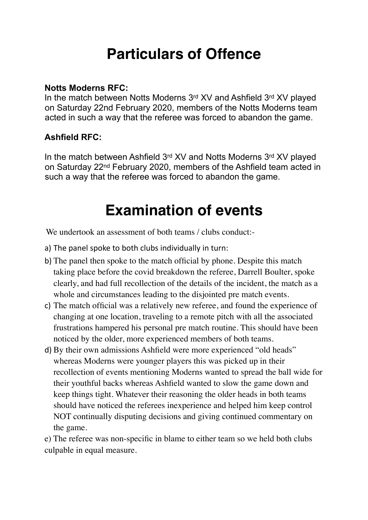# **Particulars of Offence**

#### **Notts Moderns RFC:**

In the match between Notts Moderns 3rd XV and Ashfield 3rd XV played on Saturday 22nd February 2020, members of the Notts Moderns team acted in such a way that the referee was forced to abandon the game.

#### **Ashfield RFC:**

In the match between Ashfield 3rd XV and Notts Moderns 3rd XV played on Saturday 22nd February 2020, members of the Ashfield team acted in such a way that the referee was forced to abandon the game.

### **Examination of events**

We undertook an assessment of both teams / clubs conduct:-

- a) The panel spoke to both clubs individually in turn:
- b) The panel then spoke to the match official by phone. Despite this match taking place before the covid breakdown the referee, Darrell Boulter, spoke clearly, and had full recollection of the details of the incident, the match as a whole and circumstances leading to the disjointed pre match events.
- c) The match official was a relatively new referee, and found the experience of changing at one location, traveling to a remote pitch with all the associated frustrations hampered his personal pre match routine. This should have been noticed by the older, more experienced members of both teams.
- d) By their own admissions Ashfield were more experienced "old heads" whereas Moderns were younger players this was picked up in their recollection of events mentioning Moderns wanted to spread the ball wide for their youthful backs whereas Ashfield wanted to slow the game down and keep things tight. Whatever their reasoning the older heads in both teams should have noticed the referees inexperience and helped him keep control NOT continually disputing decisions and giving continued commentary on the game.

e) The referee was non-specific in blame to either team so we held both clubs culpable in equal measure.